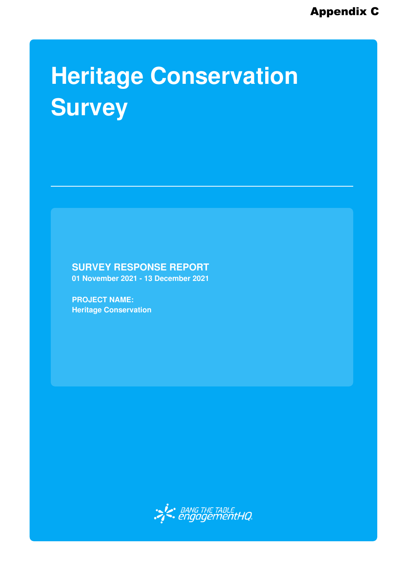## **Heritage Conservation Survey**

**SURVEY RESPONSE REPORT**

**01 November 2021 - 13 December 2021**

**PROJECT NAME: Heritage Conservation**

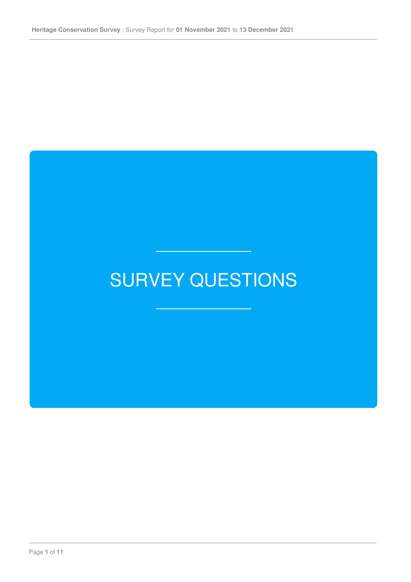## SURVEY QUESTIONS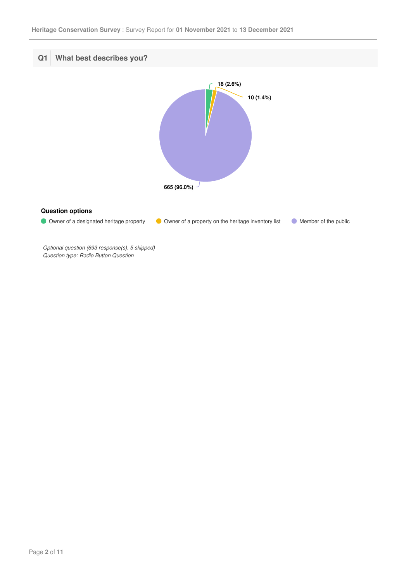

*Optional question (693 response(s), 5 skipped) Question type: Radio Button Question*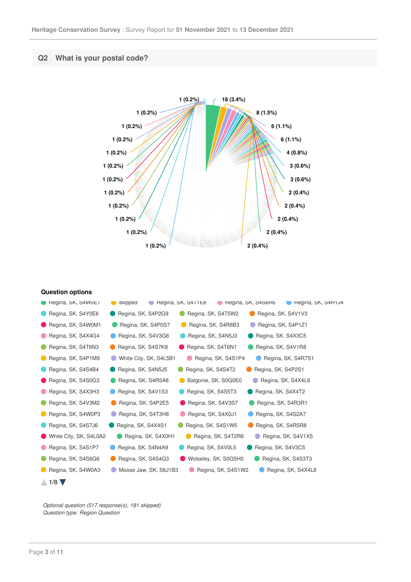## **Q2 What is your postal code?**



**Question options**

| $\blacksquare$ Regina, SK, S4W0E/ | skipped<br>Regina, SK, S4R1J4<br>Regina, SK, S411E8<br>Regina, SK, S4S6R6 |
|-----------------------------------|---------------------------------------------------------------------------|
| Regina, SK, S4Y0E6                | Regina, SK, S4P2G9<br>Regina, SK, S4T5W2<br>Regina, SK, S4V1V3            |
| Regina, SK, S4W0M1                | Regina, SK, S4P0S7<br>Regina, SK, S4R8B3<br>Regina, SK, S4P1Z1            |
| Regina, SK, S4X4G4                | Regina, SK, S4V3G8<br>Regina, SK, S4N5J3<br>Regina, SK, S4X3C5            |
| Regina, SK, S4T6N3                | Regina, SK, S4S7K8<br>Regina, SK, S4T6N1<br>Regina, SK, S4V1R8            |
| Regina, SK, S4P1M9                | White City, SK, S4L5B1<br>Regina, SK, S4S1P4<br>Regina, SK, S4R7S1        |
| Regina, SK, S4S4B4                | Regina, SK, S4N5J5<br>Regina, SK, S4S4T2<br>Regina, SK, S4P2S1            |
| Regina, SK, S4S0G3                | Regina, SK, S4R5A8<br>Balgonie, SK, S0G0E0<br>Regina, SK, S4X4L9          |
| Regina, SK, S4X3H3                | Regina, SK, S4V1S3<br>Regina, SK, S4S5T3<br>Regina, SK, S4X4T2            |
| Regina, SK, S4V3M2                | Regina, SK, S4P2E5<br>Regina, SK, S4V3S7<br>Regina, SK, S4R3R1            |
| Regina, SK, S4W0P3                | Regina, SK, S4T3H8<br>Regina, SK, S4X0J1<br>Regina, SK, S4S2A7            |
| Regina, SK, S4S7J6                | Regina, SK, S4X4S1<br>Regina, SK, S4S1W5<br>Regina, SK, S4R5R8            |
| White City, SK, S4L0A2            | Regina, SK, S4X0H1<br>Regina, SK, S4T2R6<br>Regina, SK, S4V1X5            |
| Regina, SK, S4S1P7                | Regina, SK, S4V0L5<br>Regina, SK, S4N4A9<br>Regina, SK, S4V3C5            |
| Regina, SK, S4S6G6                | Regina, SK, S4S4G3<br>Wolseley, SK, S0G5H0<br>Regina, SK, S4S3T3          |
| Regina, SK, S4W0A3                | Moose Jaw, SK, S6J1B3<br>Regina, SK, S4S1W2<br>Regina, SK, S4X4L8         |
| $1/8$ $\blacktriangledown$        |                                                                           |

Regina, SK, S4N0L1 Regina, SK, S4R3R9 Regina, SK, S4P1S1 Regina, SK, S4S4P8 *Optional question (517 response(s), 181 skipped) Question type: Region Question*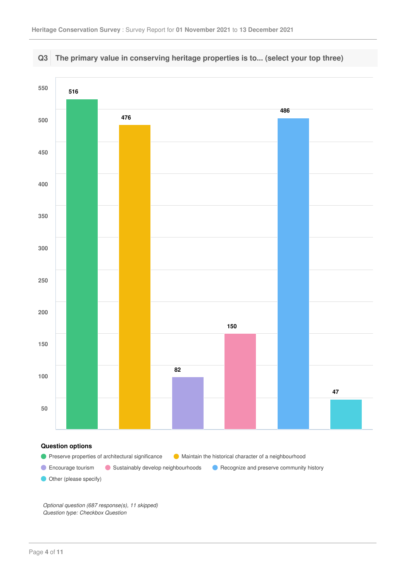

*Optional question (687 response(s), 11 skipped) Question type: Checkbox Question*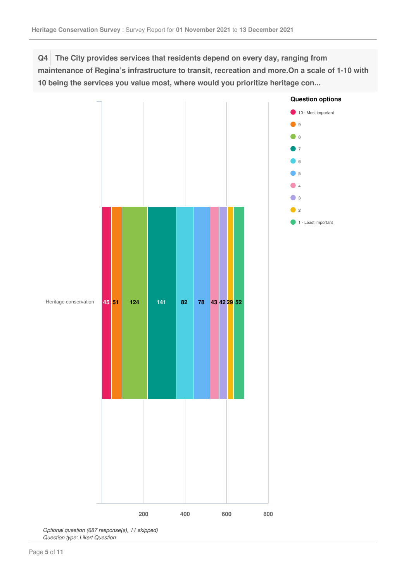**Q4 The City provides services that residents depend on every day, ranging from maintenance of Regina's infrastructure to transit, recreation and more.On a scale of 1-10 with 10 being the services you value most, where would you prioritize heritage con...**



*Optional question (687 response(s), 11 skipped) Question type: Likert Question*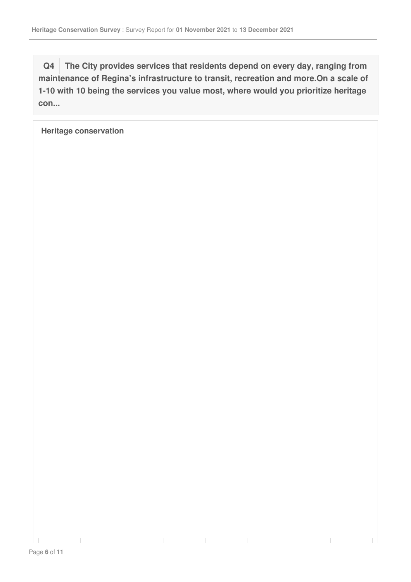**Q4 The City provides services that residents depend on every day, ranging from maintenance of Regina's infrastructure to transit, recreation and more.On a scale of 1-10 with 10 being the services you value most, where would you prioritize heritage con...**

**Heritage conservation**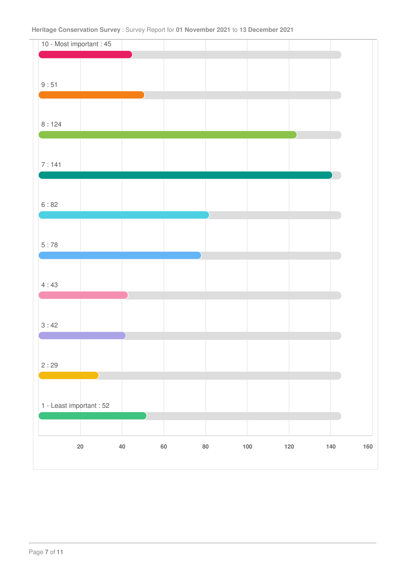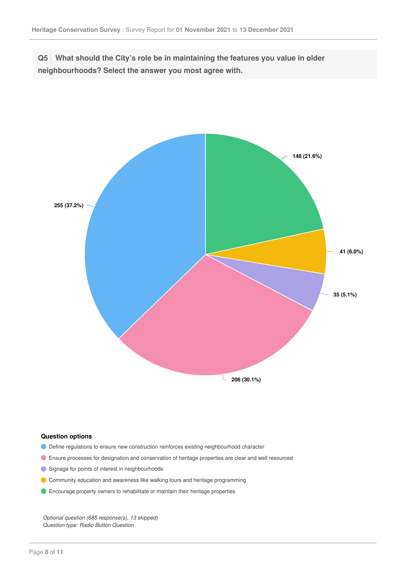**Q5 What should the City's role be in maintaining the features you value in older neighbourhoods? Select the answer you most agree with.**



## **Question options**

- Define regulations to ensure new construction reinforces existing neighbourhood character
- Ensure processes for designation and conservation of heritage properties are clear and well resourced
- Signage for points of interest in neighbourhoods
- Community education and awareness like walking tours and heritage programming
- Encourage property owners to rehabilitate or maintain their heritage properties

*Optional question (685 response(s), 13 skipped) Question type: Radio Button Question*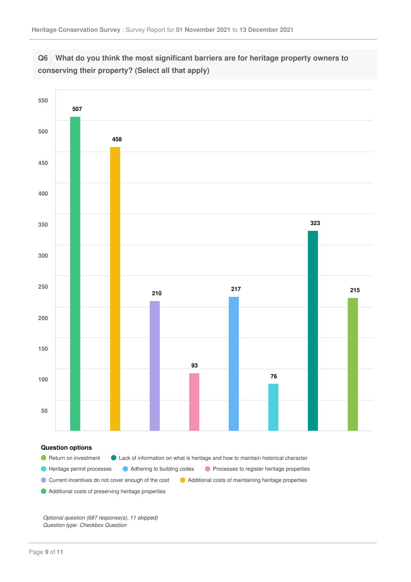



Current incentives do not cover enough of the cost <br>
Additional costs of maintaining heritage properties

Additional costs of preserving heritage properties

*Optional question (687 response(s), 11 skipped) Question type: Checkbox Question*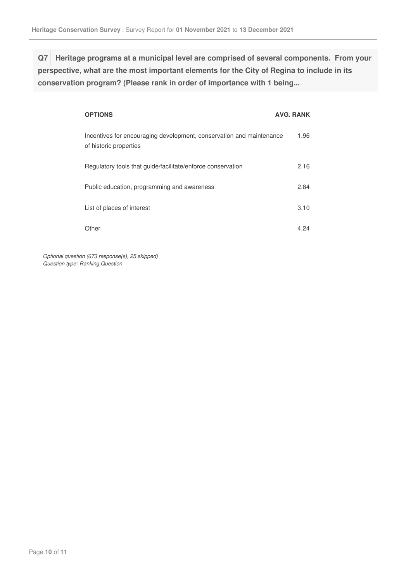**Q7 Heritage programs at a municipal level are comprised of several components. From your perspective, what are the most important elements for the City of Regina to include in its conservation program? (Please rank in order of importance with 1 being...**

| <b>OPTIONS</b>                                                                                 | AVG. RANK |
|------------------------------------------------------------------------------------------------|-----------|
| Incentives for encouraging development, conservation and maintenance<br>of historic properties | 1.96      |
| Regulatory tools that quide/facilitate/enforce conservation                                    | 2.16      |
| Public education, programming and awareness                                                    | 2.84      |
| List of places of interest                                                                     | 3.10      |
| Other                                                                                          | 4 24      |

*Optional question (673 response(s), 25 skipped) Question type: Ranking Question*